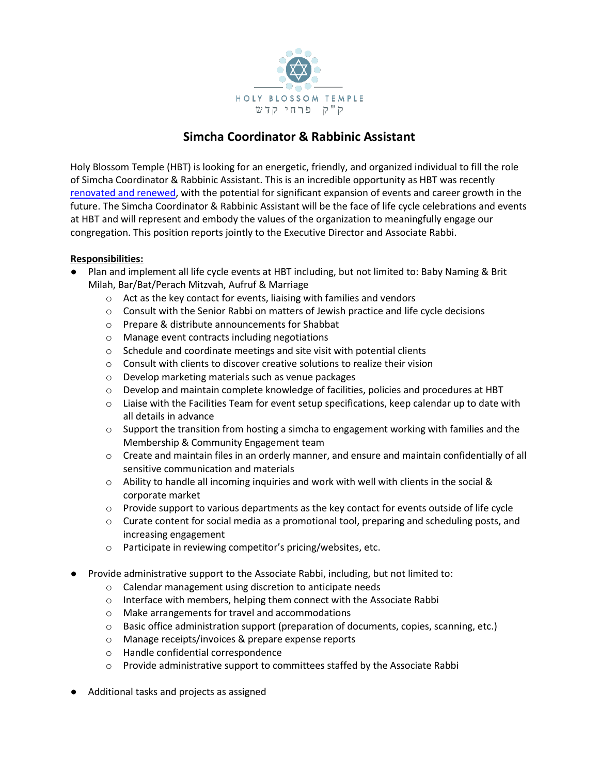

# **Simcha Coordinator & Rabbinic Assistant**

Holy Blossom Temple (HBT) is looking for an energetic, friendly, and organized individual to fill the role of Simcha Coordinator & Rabbinic Assistant. This is an incredible opportunity as HBT was recently [renovated and renewed,](https://vimeo.com/601385004) with the potential for significant expansion of events and career growth in the future. The Simcha Coordinator & Rabbinic Assistant will be the face of life cycle celebrations and events at HBT and will represent and embody the values of the organization to meaningfully engage our congregation. This position reports jointly to the Executive Director and Associate Rabbi.

## **Responsibilities:**

- Plan and implement all life cycle events at HBT including, but not limited to: Baby Naming & Brit Milah, Bar/Bat/Perach Mitzvah, Aufruf & Marriage
	- o Act as the key contact for events, liaising with families and vendors
	- $\circ$  Consult with the Senior Rabbi on matters of Jewish practice and life cycle decisions
	- o Prepare & distribute announcements for Shabbat
	- o Manage event contracts including negotiations
	- o Schedule and coordinate meetings and site visit with potential clients
	- o Consult with clients to discover creative solutions to realize their vision
	- o Develop marketing materials such as venue packages
	- o Develop and maintain complete knowledge of facilities, policies and procedures at HBT
	- $\circ$  Liaise with the Facilities Team for event setup specifications, keep calendar up to date with all details in advance
	- $\circ$  Support the transition from hosting a simcha to engagement working with families and the Membership & Community Engagement team
	- o Create and maintain files in an orderly manner, and ensure and maintain confidentially of all sensitive communication and materials
	- $\circ$  Ability to handle all incoming inquiries and work with well with clients in the social & corporate market
	- $\circ$  Provide support to various departments as the key contact for events outside of life cycle
	- $\circ$  Curate content for social media as a promotional tool, preparing and scheduling posts, and increasing engagement
	- o Participate in reviewing competitor's pricing/websites, etc.
- Provide administrative support to the Associate Rabbi, including, but not limited to:
	- o Calendar management using discretion to anticipate needs
	- o Interface with members, helping them connect with the Associate Rabbi
	- o Make arrangements for travel and accommodations
	- $\circ$  Basic office administration support (preparation of documents, copies, scanning, etc.)
	- o Manage receipts/invoices & prepare expense reports
	- o Handle confidential correspondence
	- o Provide administrative support to committees staffed by the Associate Rabbi
- Additional tasks and projects as assigned